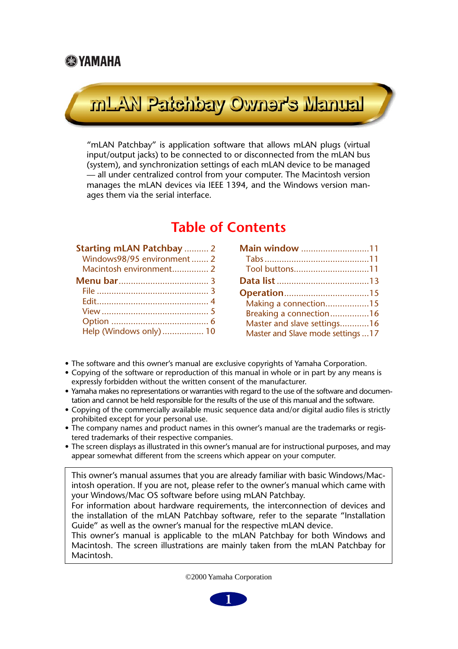## **SE YAMAHA**

# Launsk erenwo ysdreis Malm

"mLAN Patchbay" is application software that allows mLAN plugs (virtual input/output jacks) to be connected to or disconnected from the mLAN bus (system), and synchronization settings of each mLAN device to be managed — all under centralized control from your computer. The Macintosh version manages the mLAN devices via IEEE 1394, and the Windows version manages them via the serial interface.

## **Table of Contents**

| <b>Starting mLAN Patchbay  2</b> |  |
|----------------------------------|--|
| Windows98/95 environment  2      |  |
| Macintosh environment 2          |  |
|                                  |  |
|                                  |  |
|                                  |  |
|                                  |  |
|                                  |  |
| Help (Windows only)  10          |  |

| Main window 11                    |  |
|-----------------------------------|--|
|                                   |  |
| Tool buttons11                    |  |
|                                   |  |
|                                   |  |
| Making a connection15             |  |
| Breaking a connection16           |  |
| Master and slave settings16       |  |
| Master and Slave mode settings 17 |  |

- The software and this owner's manual are exclusive copyrights of Yamaha Corporation.
- Copying of the software or reproduction of this manual in whole or in part by any means is expressly forbidden without the written consent of the manufacturer.
- Yamaha makes no representations or warranties with regard to the use of the software and documentation and cannot be held responsible for the results of the use of this manual and the software.
- Copying of the commercially available music sequence data and/or digital audio files is strictly prohibited except for your personal use.
- The company names and product names in this owner's manual are the trademarks or registered trademarks of their respective companies.
- The screen displays as illustrated in this owner's manual are for instructional purposes, and may appear somewhat different from the screens which appear on your computer.

This owner's manual assumes that you are already familiar with basic Windows/Macintosh operation. If you are not, please refer to the owner's manual which came with your Windows/Mac OS software before using mLAN Patchbay.

For information about hardware requirements, the interconnection of devices and the installation of the mLAN Patchbay software, refer to the separate "Installation Guide" as well as the owner's manual for the respective mLAN device.

This owner's manual is applicable to the mLAN Patchbay for both Windows and Macintosh. The screen illustrations are mainly taken from the mLAN Patchbay for Macintosh.

©2000 Yamaha Corporation

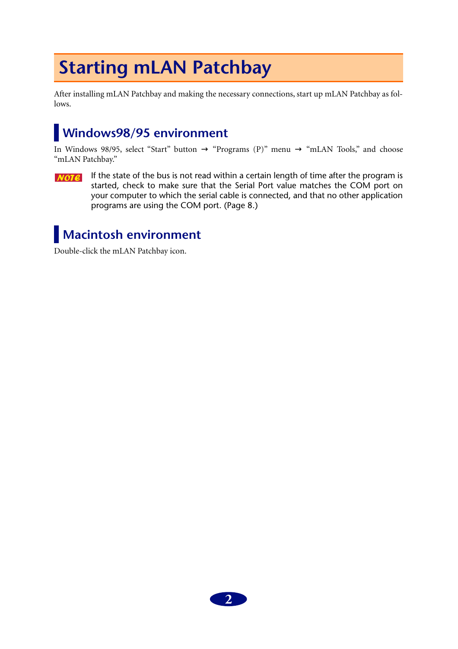# <span id="page-1-2"></span>**Starting mLAN Patchbay**

After installing mLAN Patchbay and making the necessary connections, start up mLAN Patchbay as follows.

## <span id="page-1-0"></span>**Windows98/95 environment**

In Windows 98/95, select "Start" button  $\rightarrow$  "Programs (P)" menu  $\rightarrow$  "mLAN Tools," and choose "mLAN Patchbay."

If the state of the bus is not read within a certain length of time after the program is  $NOTE$ started, check to make sure that the Serial Port value matches the COM port on your computer to which the serial cable is connected, and that no other application programs are using the COM port. (Page 8.)

## <span id="page-1-1"></span>**Macintosh environment**

Double-click the mLAN Patchbay icon.

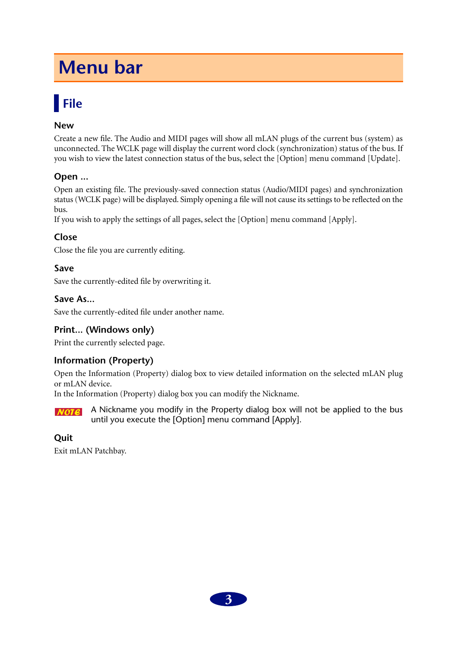# <span id="page-2-1"></span>**Menu bar**

# <span id="page-2-0"></span>**File**

## **New**

Create a new file. The Audio and MIDI pages will show all mLAN plugs of the current bus (system) as unconnected. The WCLK page will display the current word clock (synchronization) status of the bus. If you wish to view the latest connection status of the bus, select the [Option] menu command [Update].

## **Open ...**

Open an existing file. The previously-saved connection status (Audio/MIDI pages) and synchronization status (WCLK page) will be displayed. Simply opening a file will not cause its settings to be reflected on the bus.

If you wish to apply the settings of all pages, select the [Option] menu command [Apply].

## **Close**

Close the file you are currently editing.

## **Save**

Save the currently-edited file by overwriting it.

### **Save As...**

Save the currently-edited file under another name.

## **Print... (Windows only)**

Print the currently selected page.

## **Information (Property)**

Open the Information (Property) dialog box to view detailed information on the selected mLAN plug or mLAN device.

In the Information (Property) dialog box you can modify the Nickname.

A Nickname you modify in the Property dialog box will not be applied to the bus  $NOTE$ until you execute the [Option] menu command [Apply].

## **Quit**

Exit mLAN Patchbay.

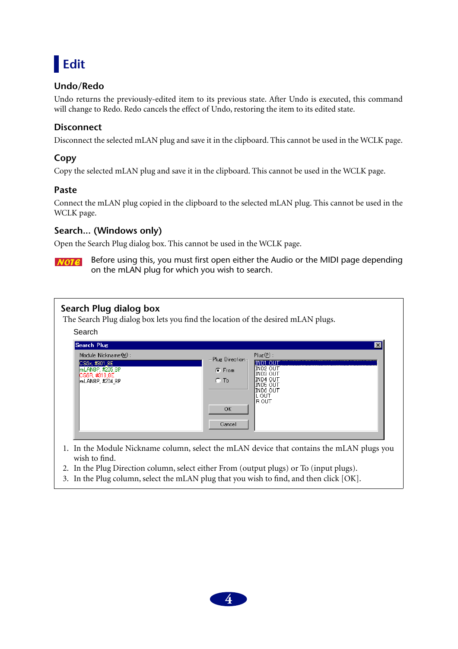<span id="page-3-0"></span>

## **Undo/Redo**

Undo returns the previously-edited item to its previous state. After Undo is executed, this command will change to Redo. Redo cancels the effect of Undo, restoring the item to its edited state.

## **Disconnect**

Disconnect the selected mLAN plug and save it in the clipboard. This cannot be used in the WCLK page.

## **Copy**

Copy the selected mLAN plug and save it in the clipboard. This cannot be used in the WCLK page.

## **Paste**

Connect the mLAN plug copied in the clipboard to the selected mLAN plug. This cannot be used in the WCLK page.

## **Search... (Windows only)**

Open the Search Plug dialog box. This cannot be used in the WCLK page.

Before using this, you must first open either the Audio or the MIDI page depending **NOTE** on the mLAN plug for which you wish to search.

| Search Plug dialog box<br>The Search Plug dialog box lets you find the location of the desired mLAN plugs.<br>Search |                                                                  |                                                                                                               |
|----------------------------------------------------------------------------------------------------------------------|------------------------------------------------------------------|---------------------------------------------------------------------------------------------------------------|
| Search Plug                                                                                                          |                                                                  | $\vert x \vert$                                                                                               |
| Module Nickname(M):<br>CS6x, #301 8E<br>mLAN8P, #205 8P<br>CS6R #318 8E<br> mLAN8P, #204 8P.                         | Plug Direction<br>$F$ . From<br>$\cap$ To<br><b>OK</b><br>Cancel | $Place(P)$ :<br>INDI OUT<br><b>IND2 OUT</b><br>IND3 OUT<br>IND4 OUT<br>IND5 OUT<br>IND6 OUT<br>l out<br>R OUT |
| 1. In the Module Nickname column, select the mLAN device that contains the mLAN plugs you                            |                                                                  |                                                                                                               |

- wish to find.
- 2. In the Plug Direction column, select either From (output plugs) or To (input plugs).
- 3. In the Plug column, select the mLAN plug that you wish to find, and then click [OK].

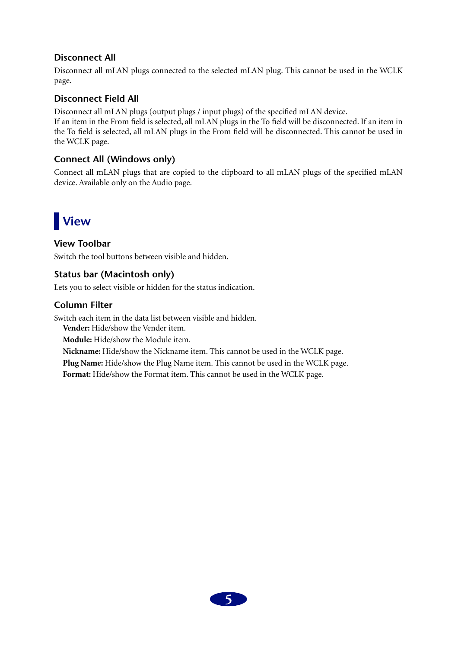## **Disconnect All**

Disconnect all mLAN plugs connected to the selected mLAN plug. This cannot be used in the WCLK page.

## **Disconnect Field All**

Disconnect all mLAN plugs (output plugs / input plugs) of the specified mLAN device. If an item in the From field is selected, all mLAN plugs in the To field will be disconnected. If an item in the To field is selected, all mLAN plugs in the From field will be disconnected. This cannot be used in the WCLK page.

## **Connect All (Windows only)**

Connect all mLAN plugs that are copied to the clipboard to all mLAN plugs of the specified mLAN device. Available only on the Audio page.

# <span id="page-4-0"></span>**View**

## **View Toolbar**

Switch the tool buttons between visible and hidden.

## **Status bar (Macintosh only)**

Lets you to select visible or hidden for the status indication.

## **Column Filter**

Switch each item in the data list between visible and hidden.

**Vender:** Hide/show the Vender item.

**Module:** Hide/show the Module item.

**Nickname:** Hide/show the Nickname item. This cannot be used in the WCLK page.

**Plug Name:** Hide/show the Plug Name item. This cannot be used in the WCLK page.

**Format:** Hide/show the Format item. This cannot be used in the WCLK page.

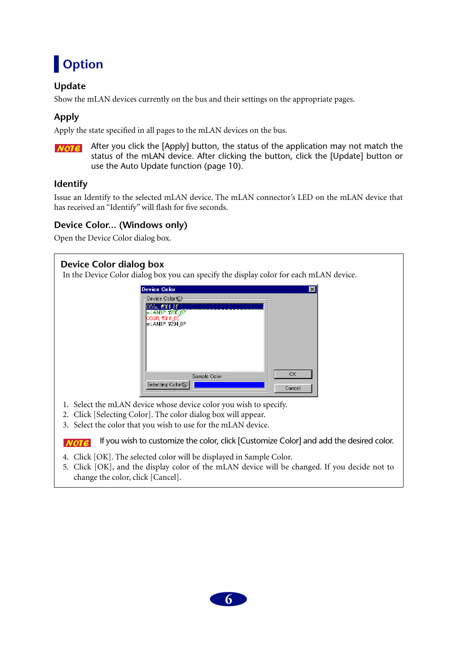# <span id="page-5-0"></span>**Option**

## **Update**

Show the mLAN devices currently on the bus and their settings on the appropriate pages.

## **Apply**

Apply the state specified in all pages to the mLAN devices on the bus.

**NOTE** After you click the [Apply] button, the status of the application may not match the status of the mLAN device. After clicking the button, click the [Update] button or use the Auto Update function (page 10).

## **Identify**

Issue an Identify to the selected mLAN device. The mLAN connector's LED on the mLAN device that has received an "Identify" will flash for five seconds.

## **Device Color... (Windows only)**

Open the Device Color dialog box.

## **Device Color dialog box**

In the Device Color dialog box you can specify the display color for each mLAN device.



- 1. Select the mLAN device whose device color you wish to specify.
- 2. Click [Selecting Color]. The color dialog box will appear.
- 3. Select the color that you wish to use for the mLAN device.

If you wish to customize the color, click [Customize Color] and add the desired color.  $NOTE$ 

- 4. Click [OK]. The selected color will be displayed in Sample Color.
- 5. Click [OK], and the display color of the mLAN device will be changed. If you decide not to change the color, click [Cancel].

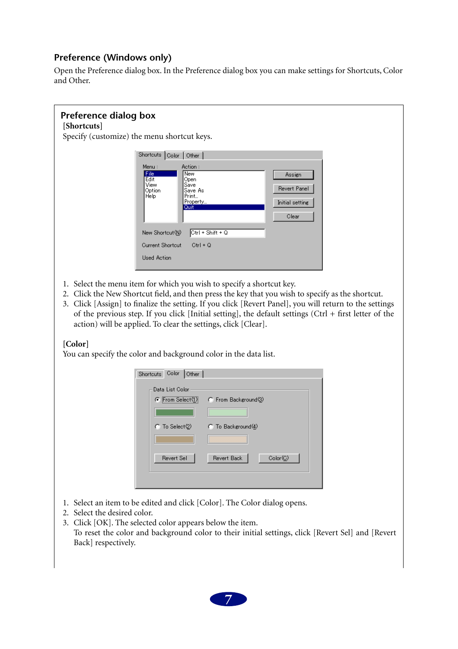## **Preference (Windows only)**

Open the Preference dialog box. In the Preference dialog box you can make settings for Shortcuts, Color and Other.

#### **Preference dialog box [Shortcuts]** Specify (customize) the menu shortcut keys. Shortcuts Color | Other | Menu Action: **File**<br>Edit New Assign Open Save View Revert Panel Save<br>Save As<br>Print... Option Help l Property Initial setting Quit Clear New Shortcut(N)  $CtrI + Shift + Q$ **Current Shortcut**  $CtrI + Q$ **Used Action**

- 1. Select the menu item for which you wish to specify a shortcut key.
- 2. Click the New Shortcut field, and then press the key that you wish to specify as the shortcut.
- 3. Click [Assign] to finalize the setting. If you click [Revert Panel], you will return to the settings of the previous step. If you click [Initial setting], the default settings (Ctrl + first letter of the action) will be applied. To clear the settings, click [Clear].

### **[Color]**

You can specify the color and background color in the data list.

| Color   Other  <br>Shortcuts         |                         |
|--------------------------------------|-------------------------|
| Data List Color                      |                         |
| $\bullet$ From Select $(1)$          | C From Background(3)    |
|                                      |                         |
| $\cap$ To Select $\langle 2 \rangle$ | $C$ To Background(4)    |
|                                      |                         |
| Revert Sel                           | Color(C)<br>Revert Back |
|                                      |                         |
|                                      |                         |

- 1. Select an item to be edited and click [Color]. The Color dialog opens.
- 2. Select the desired color.
- 3. Click [OK]. The selected color appears below the item. To reset the color and background color to their initial settings, click [Revert Sel] and [Revert Back] respectively.

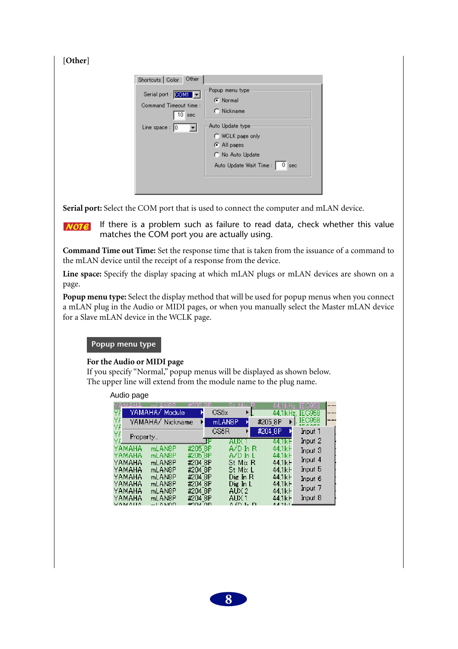**[Other]**

| <b>Other</b><br>Shortcuts   Color                           |                                                                                                                          |
|-------------------------------------------------------------|--------------------------------------------------------------------------------------------------------------------------|
| Serial port : COMI -<br>Command Timeout time:<br>10.<br>sec | Popup menu type<br>G Normal<br>$\cap$ Nickname                                                                           |
| Line space : $ 0\rangle$                                    | Auto Update type<br>C WCLK page only<br>C All pages<br>C No Auto Update<br>Auto Update Wait Time :  <br>0 <sub>sec</sub> |

Serial port: Select the COM port that is used to connect the computer and mLAN device.

If there is a problem such as failure to read data, check whether this value  $NOTE$ matches the COM port you are actually using.

**Command Time out Time:** Set the response time that is taken from the issuance of a command to the mLAN device until the receipt of a response from the device.

**Line space:** Specify the display spacing at which mLAN plugs or mLAN devices are shown on a page.

**Popup menu type:** Select the display method that will be used for popup menus when you connect a mLAN plug in the Audio or MIDI pages, or when you manually select the Master mLAN device for a Slave mLAN device in the WCLK page.

#### **Popup menu type**

#### **For the Audio or MIDI page**

If you specify "Normal," popup menus will be displayed as shown below. The upper line will extend from the module name to the plug name.

| Audio page       |                          |                    |      |                      |         |                     |                         |  |
|------------------|--------------------------|--------------------|------|----------------------|---------|---------------------|-------------------------|--|
| Υř               | NIO DI<br>YAMAHA∕ Module |                    | CS6x | -Miss                |         | 44.1kHz.<br>44.1kHz | IEC958<br><b>IEC958</b> |  |
| Υf<br>YΑ         | YAMAHA/ Nickname         |                    |      | mLAN8P               | #2058P  |                     | IEC958                  |  |
| Υř               |                          |                    | CS6R |                      | #204 8P |                     | Input 1                 |  |
| Property         |                          |                    |      | AHXI                 |         | 441kF               | Input 2                 |  |
| YAMAHA<br>YAMAHA | mLAN8P<br>mLAN8P         | #205 8P<br>#205.8P |      | A/D In R<br>AZD In L |         | 44.1kF<br>44.1kF    | Input 3                 |  |
| YAMAHA           | mLAN8P                   | #204 8P            |      | St Mix R             |         | 44.1kF              | Input $4$               |  |
| YAMAHA           | mLAN8P                   | #204 8P            |      | St Mix L             |         | $44.1k$ $+$         | Input 5                 |  |
| YAMAHA           | mLAN <sub>8</sub> P      | #204 8P            |      | Die In R             |         | $44.1k +$           | Input $6\,$             |  |
| YAMAHA<br>YAMAHA | mLAN8P<br>mLAN8P         | #204 8P<br>#204 8P |      | Die In L<br>AUX 2    |         | 44.1kF<br>44.1kF    | Input $7\,$             |  |
| YAMAHA           | mLAN3P                   | #204 8P            |      | ALIX 1               |         | 44.1kF              | Input 8                 |  |
|                  |                          | കാവം വര            |      | $0$ (D $L$ D         |         | $4.4 - 1.1$         |                         |  |

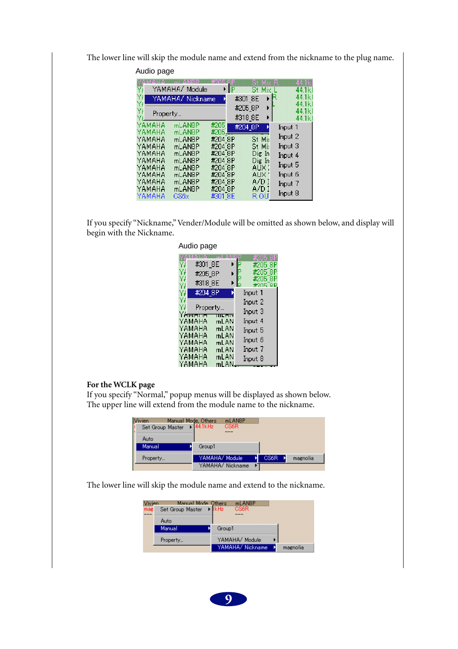The lower line will skip the module name and extend from the nickname to the plug name.

| Audio page           |                     |         |              |                   |
|----------------------|---------------------|---------|--------------|-------------------|
|                      |                     |         | Mix          | .1k               |
| Ÿ,                   | YAMAHA/ Module      | RР      | Mix          | 44.1k             |
| Y۱                   | YAMAHA/ Nickname    |         | #301 8E<br>ь | 44.1k             |
| Ÿ۱                   |                     |         | #2058P<br>⊧  | 44.1k             |
| Y۱<br>Property<br>γ. |                     |         | #318_8E<br>⊧ | 44.1k             |
| YAMAHA               | mLAN8P              | #205    |              | 44.1k             |
| YAMAHA               | ml ANRP             | #205    | #204_8P      | Input 1           |
| YAMAHA               | ml ANSP             | #204 8P | St Mi:       | Input 2           |
| ҮАМАНА               | mLAN8P              | #204 8P | St Mis       | Input $3$         |
| YAMAHA               | mLAN <sub>8</sub> P | #204 BP | Die In       | Input 4           |
| YAMAHA               | mLAN8P              | #204 8P | Dig In       |                   |
| YAMAHA               | mLAN8P              | #204 8P | AUX 2        | $_{\rm{Input}}$ 5 |
| YAMAHA               | mLAN <sub>8</sub> P | #204.8P | AUX -        | Input 6           |
| ҮАМАНА               | mLAN8P              | #204 8P | A/DI         | Input 7           |
| YAMAHA               | mLAN8P              | #204 8P | A/D I        | Input 8           |
| YAMAHA               | CS6x                | #301 8E | R OU         |                   |

If you specify "Nickname," Vender/Module will be omitted as shown below, and display will begin with the Nickname.

|                      | Audio page                      |                |                                     |          |
|----------------------|---------------------------------|----------------|-------------------------------------|----------|
| Ył<br>Ył<br>Ył<br>Ył | #301_8E<br>#205_8P<br>#318 8E   |                | #205<br>#205<br>#205<br><b>MOUL</b> | ЯF<br>8F |
| Ył<br>Ył             | #204 8P                         |                | Input 1<br>Input 2                  |          |
| Ył                   | Property…<br>Y <del>Amoun</del> | <b>TTL FT4</b> | Input 3                             |          |
|                      | YAMAHA<br>YAMAHA                | ml AN<br>mLAN  | Input 4<br>Input 5                  |          |
|                      | YAMAHA<br>YAMAHA                | mLAN<br>mLAN   | Input 6                             |          |
|                      | YAMAHA                          | mLAN           | Input 7                             |          |
|                      | YAMAHA<br>YAMAHA                | mLAN<br>ml AN  | Input 8                             |          |

#### **For the WCLK page**

If you specify "Normal," popup menus will be displayed as shown below. The upper line will extend from the module name to the nickname.

| <b>Vivien</b><br>Manual Mode, Others<br>Set Group Master<br>Auto | 44.1kHz        | ml ANSP<br><b>CS6R</b> |      |          |
|------------------------------------------------------------------|----------------|------------------------|------|----------|
| Manual                                                           | Group1         |                        |      |          |
| Property                                                         | YAMAHA/ Module |                        | CS6R | magnolia |
|                                                                  |                | YAMAHA/ Nickname       |      |          |

The lower line will skip the module name and extend to the nickname.

| Vivien<br>mag | Manual Mode Others<br>Set Group Master | ml ANSP<br>kHz<br>CS6R |          |
|---------------|----------------------------------------|------------------------|----------|
|               | Auto<br>Manual                         | Group1                 |          |
|               | Property                               | YAMAHA/ Module         |          |
|               |                                        | YAMAHA/ Nickname       | magnolia |

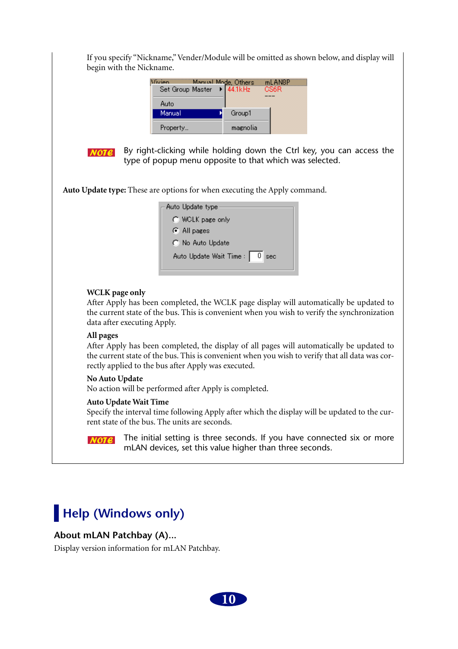If you specify "Nickname," Vender/Module will be omitted as shown below, and display will begin with the Nickname.

| Vivien           | Manual Mode, Others.          | mLANSP |  |
|------------------|-------------------------------|--------|--|
| Set Group Master | $\blacktriangleright$ 44.1kHz | CS6R   |  |
| Auto             |                               |        |  |
| Manual           | Group1                        |        |  |
| Property         | magnolia                      |        |  |



By right-clicking while holding down the Ctrl key, you can access the type of popup menu opposite to that which was selected.

**Auto Update type:** These are options for when executing the Apply command.

| Auto Update type              |
|-------------------------------|
| C WCLK page only              |
| C All pages                   |
| C No Auto Update              |
| Auto Update Wait Time : 0 sec |

### **WCLK page only**

After Apply has been completed, the WCLK page display will automatically be updated to the current state of the bus. This is convenient when you wish to verify the synchronization data after executing Apply.

### **All pages**

After Apply has been completed, the display of all pages will automatically be updated to the current state of the bus. This is convenient when you wish to verify that all data was correctly applied to the bus after Apply was executed.

### **No Auto Update**

No action will be performed after Apply is completed.

### **Auto Update Wait Time**

Specify the interval time following Apply after which the display will be updated to the current state of the bus. The units are seconds.

<span id="page-9-0"></span>The initial setting is three seconds. If you have connected six or more **NOTE** mLAN devices, set this value higher than three seconds.

## **Help (Windows only)**

### **About mLAN Patchbay (A)...**

Display version information for mLAN Patchbay.

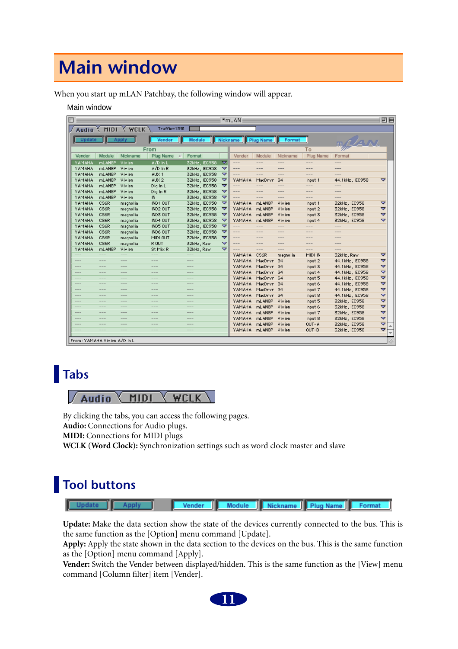# <span id="page-10-2"></span>**Main window**

When you start up mLAN Patchbay, the following window will appear.

#### Main window

| $\overline{\mathbb{R}^n}$ |                              |                   |               |                   |                   |   | *mLAN∃   |               |               |               |                 | 回目 |
|---------------------------|------------------------------|-------------------|---------------|-------------------|-------------------|---|----------|---------------|---------------|---------------|-----------------|----|
|                           | Audio                        | <b>MIDI</b>       | <b>WCLK</b>   | Traffic=15%       |                   |   |          |               |               |               |                 |    |
|                           | <b>Update</b>                |                   | Apply         | Vender            | <b>Module</b>     |   | Nickname | Plug Name     | Format        |               |                 |    |
|                           |                              |                   |               |                   |                   |   |          |               |               |               | m/Havy          |    |
|                           |                              |                   |               | From              |                   |   |          |               |               | To            |                 |    |
|                           | Vender                       | Module            | Nickname      | Plug Name<br>- 15 | Format            |   | Vender   | Module        | Nickname      | Plug Name     | Format          |    |
|                           | YAMAHA                       | mLAN8P            | Vivien        | A/D In L          | 32kHz, IEC958     | ≂ | ---      | $\cdots$      | $\cdots$      | $-- -$        | ---             |    |
|                           | YAMAHA                       | mLAN8P            | Vivien        | $A/D$ In R        | 32kHz, IEC958     | ▽ | ---      | ---           | ---           | ---           | ---             |    |
|                           | YAMAHA                       | mLAN8P            | Vivien        | AUX <sub>1</sub>  | 32kHz, IEC958     | ▽ | ---      | ---           | $\cdots$      | $-- -$        | ---             |    |
|                           | YAMAHA                       | mLAN8P            | Vivien        | AUX <sub>2</sub>  | 32kHz, IEC958     | ▽ | YAMAHA   | MacDrvr       | G4            | Input 1       | 44.1kHz, IEC958 | ▽  |
|                           | YAMAHA                       | mLAN8P            | Vivien        | Dig In L          | 32kHz, IEC958     | ▽ | ---      | $---$         | $\cdots$      | $---$         | ---             |    |
|                           | YAMAHA                       | mLAN8P            | Vivien        | Dig In R          | 32kHz, IEC958     | ▽ | ---      | ---           | ---           | ---           | ---             |    |
|                           | YAMAHA                       | mLAN8P            | Vivien        | IN                | 32kHz, IEC958     | ▽ | ---      | ---           | ---           | $---$         | $- - -$         |    |
|                           | YAMAHA                       | CS6R              | magnolia      | IND1 OUT          | 32kHz, IEC958     | ▽ | YAMAHA   | mLAN8P        | Vivien        | Input 1       | 32kHz, IEC958   | ▽  |
|                           | YAMAHA                       | CS6R              | magnolia      | IND2 OUT          | 32kHz, IEC958     | ▽ | YAMAHA   | mLAN8P        | Vivien        | Input 2       | 32kHz, IEC958   | ▽  |
|                           | YAMAHA                       | CS6R              | magnolia      | IND3 OUT          | 32kHz, IEC958     | ▽ | YAMAHA   | mLAN8P        | Vivien        | Input 3       | 32kHz, IEC958   | ▽  |
|                           | YAMAHA                       | CS6R              | magnolia      | IND4 OUT          | 32kHz, IEC958     | ▽ | YAMAHA   | mLAN8P        | Vivien        | Input 4       | 32kHz, IEC958   | ▽  |
|                           | YAMAHA                       | CS6R              | magnolia      | IND5 OUT          | 32kHz, IEC958     | ▽ | $---$    | $\frac{1}{2}$ | $\frac{1}{2}$ | $---$         | $- - -$         |    |
|                           | YAMAHA                       | CS6R              | magnolia      | IND6 OUT          | 32kHz, IEC958     | ▽ | $---$    | $- - -$       | $\frac{1}{2}$ | $  -$         | $- - -$         |    |
|                           | YAMAHA                       | CS6R              | magnolia      | MIDI OUT          | 32kHz, IEC958     | ▽ | $---$    | $\frac{1}{2}$ | $\frac{1}{2}$ | $\frac{1}{2}$ | $- - -$         |    |
|                           | YAMAHA                       | CS6R              | magnolia      | R OUT             | 32kHz, Raw        | ▽ | ---      | ---           | $- - -$       | ---           | ---             |    |
|                           | YAMAHA                       | mLAN8P            | Vivien        | St Mix R          | 32kHz, Raw        | ᢦ | $- - -$  | $- - -$       | $\cdots$      | $-$ --        | $- - -$         |    |
|                           | ---                          | $- - -$           | $---$         | $---$             | ---               |   | YAMAHA   | CS6R          | magnolia      | MIDI IN       | 32kHz, Raw      | ▽  |
|                           | $\qquad \qquad -$            | ---               | $---$         | $---$             | $\cdots$          |   | YAMAHA   | MacDrivr      | G4            | Input 2       | 44.1kHz, IEC958 | ▽  |
|                           | ---                          | ---               | ---           | $---$             | ---               |   | YAMAHA   | MacDrivr      | G4            | Input 3       | 44.1kHz, IEC958 | ▽  |
|                           | $\cdots$                     | $\qquad \qquad -$ | $---$         | $\qquad \qquad -$ | $\qquad \qquad -$ |   | YAMAHA   | MadDrivin     | G4            | Input 4       | 44.1kHz, IEC958 | ▽  |
|                           | ---                          | ---               | $---$         | $\qquad \qquad -$ | ---               |   | YAMAHA   | MadDrivin     | G4            | Input 5       | 44.1kHz, IEC958 | ᆓ  |
|                           | $\cdots$                     | ---               | $\frac{1}{2}$ | $\qquad \qquad -$ | $\cdots$          |   | YAMAHA   | MacDrivr      | - G4          | Input 6       | 44.1kHz, IEC958 | ᆓ  |
|                           | ---                          | ---               | $---$         | $\qquad \qquad -$ | $-- -$            |   | YAMAHA   | MacDrivr      | G4            | Input 7       | 44.1kHz, IEC958 | ᅐ  |
|                           | $\cdots$                     | ---               | $\cdots$      | $\cdots$          | $\cdots$          |   | YAMAHA   | MacDrvr.      | G4            | Input 8       | 44.1kHz, IEC958 | ▽  |
|                           | ---                          | ---               | $- - -$       | $\cdots$          | $-- -$            |   | YAMAHA   | mLAN8P        | Vivien        | Input 5       | 32kHz, IEC958   | ▽  |
|                           | ---                          | ---               | $---$         | $\cdots$          | $\cdots$          |   | YAMAHA   | mLAN8P        | Vivien        | Input 6       | 32kHz, IEC958   | ▽  |
|                           | $---$                        | ---               | $---$         | $---$             | $\cdots$          |   | YAMAHA   | mLAN8P        | Vivien        | Input 7       | 32kHz, IEC958   | ▽  |
|                           | ---                          | ---               | $---$         | $---$             | $\cdots$          |   | YAMAHA   | mLAN8P        | Vivien        | Input 8       | 32kHz, IEC958   | ▽  |
|                           | $- - -$                      | ---               | $\frac{1}{2}$ | $- - -$           | $\frac{1}{2}$     |   | YAMAHA   | mLAN8P        | Vivien        | OUT-A         | 32kHz, IEC958   | ▽  |
|                           | ---                          | ---               | ---           | $\frac{1}{2}$     | ---               |   | YAMAHA   | mLAN8P        | Vivien        | OUT-B         | 32kHz, IEC958   | ▽  |
|                           |                              |                   |               |                   |                   |   |          |               |               |               |                 |    |
|                           | From: YAMAHA Vivien A/D In L |                   |               |                   |                   |   |          |               |               |               |                 |    |

## <span id="page-10-0"></span>**Tabs**



By clicking the tabs, you can access the following pages. **Audio:** Connections for Audio plugs. **MIDI:** Connections for MIDI plugs **WCLK (Word Clock):** Synchronization settings such as word clock master and slave

## <span id="page-10-1"></span>**Tool buttons**

| Module   Nickname   Plug Name   Format<br>Ш |  |
|---------------------------------------------|--|
|---------------------------------------------|--|

**Update:** Make the data section show the state of the devices currently connected to the bus. This is the same function as the [Option] menu command [Update].

**Apply:** Apply the state shown in the data section to the devices on the bus. This is the same function as the [Option] menu command [Apply].

**Vender:** Switch the Vender between displayed/hidden. This is the same function as the [View] menu command [Column filter] item [Vender].

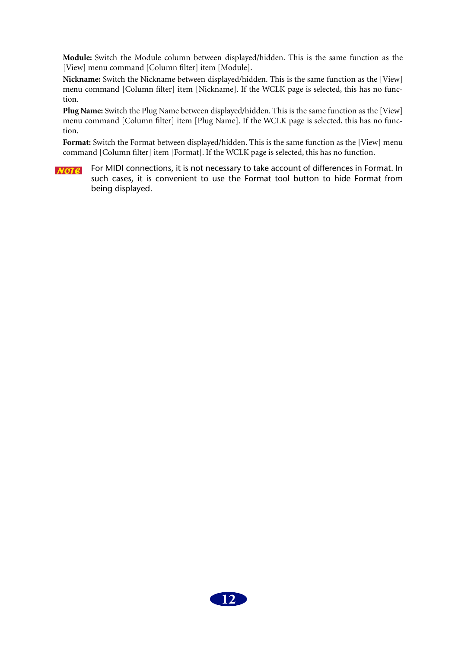**Module:** Switch the Module column between displayed/hidden. This is the same function as the [View] menu command [Column filter] item [Module].

**Nickname:** Switch the Nickname between displayed/hidden. This is the same function as the [View] menu command [Column filter] item [Nickname]. If the WCLK page is selected, this has no function.

**Plug Name:** Switch the Plug Name between displayed/hidden. This is the same function as the [View] menu command [Column filter] item [Plug Name]. If the WCLK page is selected, this has no function.

**Format:** Switch the Format between displayed/hidden. This is the same function as the [View] menu command [Column filter] item [Format]. If the WCLK page is selected, this has no function.

For MIDI connections, it is not necessary to take account of differences in Format. In  $NOTE$ such cases, it is convenient to use the Format tool button to hide Format from being displayed.

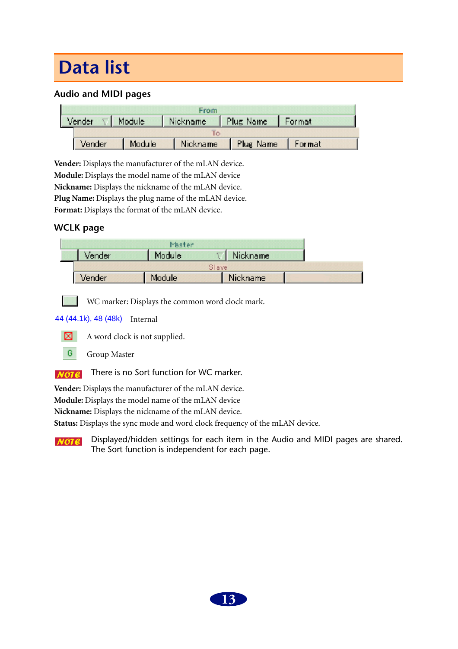# <span id="page-12-0"></span>**Data list**

## **Audio and MIDI pages**

|        | From   |  |                                                        |  |  |  |  |  |  |  |  |
|--------|--------|--|--------------------------------------------------------|--|--|--|--|--|--|--|--|
|        |        |  | Vender $\nabla$ Module   Nickname   Plug Name   Format |  |  |  |  |  |  |  |  |
|        |        |  |                                                        |  |  |  |  |  |  |  |  |
| Vender | Module |  | Nickname Plug Name Format                              |  |  |  |  |  |  |  |  |

**Vender:** Displays the manufacturer of the mLAN device. **Module:** Displays the model name of the mLAN device **Nickname:** Displays the nickname of the mLAN device. Plug Name: Displays the plug name of the mLAN device. Format: Displays the format of the mLAN device.

## **WCLK page**

|        | Master  |       |                 |  |
|--------|---------|-------|-----------------|--|
| Vender | Modulei |       | <u>Nickname</u> |  |
|        |         | Slave |                 |  |
| Vender | Module  |       | Nickname        |  |

WC marker: Displays the common word clock mark.

### 44 (44.1k), 48 (48k) Internal



A word clock is not supplied.



There is no Sort function for WC marker.  $NOTE$ 

**Vender:** Displays the manufacturer of the mLAN device.

**Module:** Displays the model name of the mLAN device

**Nickname:** Displays the nickname of the mLAN device.

**Status:** Displays the sync mode and word clock frequency of the mLAN device.

Displayed/hidden settings for each item in the Audio and MIDI pages are shared.  $NOTE$ The Sort function is independent for each page.

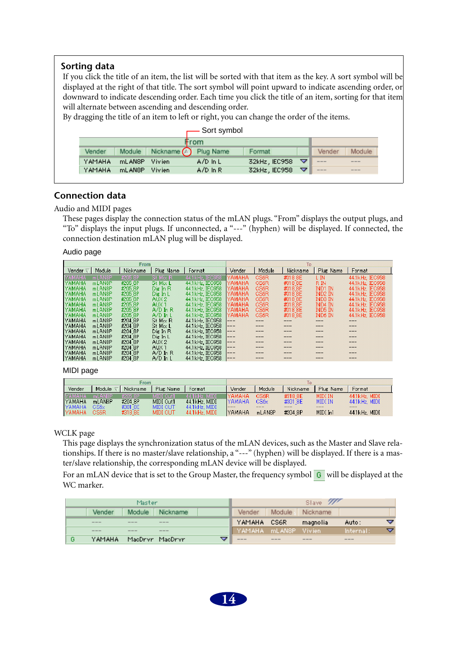### **Sorting data**

If you click the title of an item, the list will be sorted with that item as the key. A sort symbol will be displayed at the right of that title. The sort symbol will point upward to indicate ascending order, or downward to indicate descending order. Each time you click the title of an item, sorting for that item will alternate between ascending and descending order.

By dragging the title of an item to left or right, you can change the order of the items.

|                  |                     | Sort symbol   |                      |   |       |                        |  |  |  |  |  |  |  |  |
|------------------|---------------------|---------------|----------------------|---|-------|------------------------|--|--|--|--|--|--|--|--|
|                  |                     |               |                      |   |       |                        |  |  |  |  |  |  |  |  |
| Module<br>Vender | Nickname $\bigcirc$ | Vender        | Module               |   |       |                        |  |  |  |  |  |  |  |  |
| YAMAHA<br>mLANSP | Vivien              | $A/D$ In L    | 32kHz EC958 $\nabla$ |   | ---   | $\frac{1}{2}$          |  |  |  |  |  |  |  |  |
| YAMAHA<br>mLAN8P | Vivien              | $A/D$ $\ln R$ | 32kHz, IEC958        | ╺ | $---$ | $\cdots \cdots \cdots$ |  |  |  |  |  |  |  |  |

### **Connection data**

Audio and MIDI pages

These pages display the connection status of the mLAN plugs. "From" displays the output plugs, and "To" displays the input plugs. If unconnected, a "---" (hyphen) will be displayed. If connected, the connection destination mLAN plug will be displayed.

#### Audio page

|                 |                     | From     |                  |                  | To            |        |          |           |                 |  |
|-----------------|---------------------|----------|------------------|------------------|---------------|--------|----------|-----------|-----------------|--|
| Vender $\nabla$ | Module              | Nickname | Plug Name        | Format           | Vender        | Module | Nickname | Plug Name | Format          |  |
| YAMAHA          | mLAN8P              | #205 8P  | St Mix R         | 44.1 kHz, IEC958 | YAMAHA        | CS6R   | #318 8E  | l in      | 44.1kHz, IEC958 |  |
| <b>YAMAHA</b>   | mLAN8P              | #205 8P  | St Mix L         | 44.1 kHz. IEC958 | YAMAHA        | CS6R   | #318 8E  | R IN      | 44.1kHz, IEC958 |  |
| <b>YAMAHA</b>   | mLAN8P              | #205 8P  | Die In R         | 44.1 kHz. IEC958 | IYAMAHA.      | CS6R   | #318 8E  | IND1 IN   | 44.1kHz. IEC958 |  |
| <b>YAMAHA</b>   | mLAN8P              | #2058P   | Die In L         | 44.1 kHz. IEC958 | <b>YAMAHA</b> | CS6R   | #318 8E  | IND2 IN   | 44.1kHz, IEC958 |  |
| <b>YAMAHA</b>   | mLAN8P              | #205 8P  | AUX <sub>2</sub> | 44.1 kHz. IEC958 | IYAMAHA.      | CS6R   | #318 8E  | IND3 IN   | 44.1kHz, IEC958 |  |
| <b>YAMAHA</b>   | mLAN8P              | #205 8P  | AUX <sub>1</sub> | 44.1 kHz. IEC958 | IYAMAHA       | CS6R   | #318 8E  | IND4 IN   | 44.1kHz, IEC958 |  |
| <b>YAMAHA</b>   | mLAN8P              | #205.8P  | $A/D$ in $R$     | 44.1 kHz, IEC958 | IYAMAHA.      | CS6R   | #318 8E  | IND5 IN   | 44.1kHz, IEC958 |  |
| <b>YAMAHA</b>   | mLAN8P              | #205 8P  | $A/D$ In L       | 44.1 kHz. IEC958 | IYAMAHA       | CS6R   | #318 8E  | IND6 IN   | 44.1kHz, IEC958 |  |
| <b>YAMAHA</b>   | mLAN <sub>8</sub> P | #204 8P  | St Mix R         | 44.1 kHz. IEC958 | ---           |        |          |           |                 |  |
| <b>YAMAHA</b>   | mLAN8P              | #204 8P  | St Mix L         | 44.1 kHz. IEC958 | $---$         |        |          |           |                 |  |
| <b>YAMAHA</b>   | mLAN8P              | #204 8P  | Die In R         | 44.1 kHz. IEC958 | $---$         |        |          | ---       |                 |  |
| <b>YAMAHA</b>   | mLAN8P              | #204 8P  | Dig In L         | 44.1 kHz, IEC958 | ---           |        |          |           |                 |  |
| <b>YAMAHA</b>   | mLAN8P              | #204 8P  | AUX <sub>2</sub> | 44.1 kHz, IEC958 | $---$         |        |          |           |                 |  |
| IYAMAHA         | mLAN8P              | #204 8P  | AUX <sub>1</sub> | 44.1 kHz. IEC958 | $---$         |        |          |           |                 |  |
| <b>YAMAHA</b>   | mLAN8P              | #204 8P  | $A/D$ In R       | 44.1 kHz. IEC958 | $---$         |        |          |           |                 |  |
| <b>YAMAHA</b>   | ml AN8P             | #204 8P  | $A/D$ In 1       | 441kHz IEC958    | $---$         |        |          |           |                 |  |

MIDI page

|                |         | From            |                 |                  |         |        |          |           |                  |  |  |
|----------------|---------|-----------------|-----------------|------------------|---------|--------|----------|-----------|------------------|--|--|
| Vender         | Module  | <b>Nickname</b> | Plug Name       | Format           | Vender  | Module | Nickname | Plug Name | Format           |  |  |
| IMAMAHA        | ml ANRP | #205.8P         | MIDI Out1       | $44.1kHz$ . MIDI | YAMAHA  | CS6R   | #318.8F  | MIDI IN   | $44.1kHz$ MIDI   |  |  |
| <b>IYAMAHA</b> | mLAN8P  | #204 8P         | MIDI Out1       | $44.1k$ Hz, MIDI | IYAMAHA | CS6x   | #301 8E  | MIDI IN   | $44.1kHz$ . MIDI |  |  |
| IYAMAHA        | CS6x    | #301 8E         | <b>MIDI OUT</b> | $44.1kHz$ . MIDI | ---     |        | ----     |           | ---              |  |  |
| IYAMAHA.       | CS6R    | #318 8E         | MIDI OUT        | $44.1kHz$ . MIDI | IYAMAHA | mLANBP | #204 8P  | MIDI In1  | $44.1kHz$ . MIDI |  |  |

#### WCLK page

This page displays the synchronization status of the mLAN devices, such as the Master and Slave relationships. If there is no master/slave relationship, a "---" (hyphen) will be displayed. If there is a master/slave relationship, the corresponding mLAN device will be displayed.

For an mLAN device that is set to the Group Master, the frequency symbol  $\overline{G}$  will be displayed at the WC marker.

|                                                                                                                                                                                                                                                                                                                                                                                                                                                                            | Master |                                                                                                                                                                                                                                                                                                                                                                                                                                                                            |  | Slave <b>11</b>      |         |          |           |   |  |  |
|----------------------------------------------------------------------------------------------------------------------------------------------------------------------------------------------------------------------------------------------------------------------------------------------------------------------------------------------------------------------------------------------------------------------------------------------------------------------------|--------|----------------------------------------------------------------------------------------------------------------------------------------------------------------------------------------------------------------------------------------------------------------------------------------------------------------------------------------------------------------------------------------------------------------------------------------------------------------------------|--|----------------------|---------|----------|-----------|---|--|--|
| Nickname<br><b>Module</b><br>Vender                                                                                                                                                                                                                                                                                                                                                                                                                                        |        |                                                                                                                                                                                                                                                                                                                                                                                                                                                                            |  |                      | Module. | Nickname |           |   |  |  |
| $\frac{1}{2} \left( \frac{1}{2} \right) \left( \frac{1}{2} \right) \left( \frac{1}{2} \right) \left( \frac{1}{2} \right) \left( \frac{1}{2} \right) \left( \frac{1}{2} \right) \left( \frac{1}{2} \right) \left( \frac{1}{2} \right) \left( \frac{1}{2} \right) \left( \frac{1}{2} \right) \left( \frac{1}{2} \right) \left( \frac{1}{2} \right) \left( \frac{1}{2} \right) \left( \frac{1}{2} \right) \left( \frac{1}{2} \right) \left( \frac{1}{2} \right) \left( \frac$ | ---    | $\frac{1}{2} \left( \frac{1}{2} \right) \left( \frac{1}{2} \right) \left( \frac{1}{2} \right) \left( \frac{1}{2} \right) \left( \frac{1}{2} \right) \left( \frac{1}{2} \right) \left( \frac{1}{2} \right) \left( \frac{1}{2} \right) \left( \frac{1}{2} \right) \left( \frac{1}{2} \right) \left( \frac{1}{2} \right) \left( \frac{1}{2} \right) \left( \frac{1}{2} \right) \left( \frac{1}{2} \right) \left( \frac{1}{2} \right) \left( \frac{1}{2} \right) \left( \frac$ |  | YAMAHA CS6R          |         | magnolia | Auto :    |   |  |  |
| ----                                                                                                                                                                                                                                                                                                                                                                                                                                                                       | ---    | ----                                                                                                                                                                                                                                                                                                                                                                                                                                                                       |  | YAMAHA mLANSP Vivien |         |          | Internal: | ▽ |  |  |
|                                                                                                                                                                                                                                                                                                                                                                                                                                                                            |        |                                                                                                                                                                                                                                                                                                                                                                                                                                                                            |  |                      |         |          |           |   |  |  |

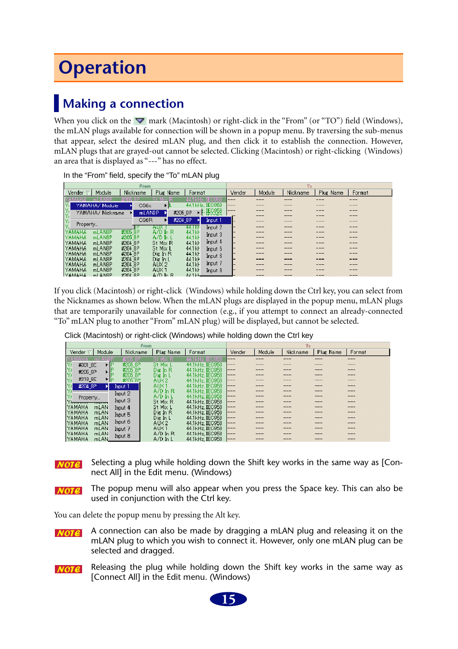# <span id="page-14-1"></span>**Operation**

## <span id="page-14-0"></span>**Making a connection**

When you click on the  $\blacktriangledown$  mark (Macintosh) or right-click in the "From" (or "TO") field (Windows), the mLAN plugs available for connection will be shown in a popup menu. By traversing the sub-menus that appear, select the desired mLAN plug, and then click it to establish the connection. However, mLAN plugs that are grayed-out cannot be selected. Clicking (Macintosh) or right-clicking (Windows) an area that is displayed as "---" has no effect.

|                |                     | From        |                      |                     |                  |        |        | To       |           |        |
|----------------|---------------------|-------------|----------------------|---------------------|------------------|--------|--------|----------|-----------|--------|
| Vender         | Module              | Nickname    | Plug Name            | Format              |                  | Vender | Module | Nickname | Plug Name | Format |
|                |                     |             |                      |                     | <b>IEC958</b>    | ---    |        |          | ---       | ---    |
|                | YAMAHA∕ Module      | CS6x        | ▸                    |                     | 44.1 kHz, IEC958 | ---    |        |          |           |        |
| Y.             | YAMAHA/ Nickname    |             | mLAN8P               | #205 8P             | IEC958           | ---    |        |          |           | ---    |
|                |                     |             |                      |                     | <b>TECHCO</b>    |        |        |          |           |        |
| Ý,<br>Property |                     | CS6R        | Ы                    | #204 8P             | Input 1          |        |        |          |           |        |
|                |                     |             | AUX                  | 44.TRF              | Input 2          |        |        |          |           |        |
| ҮАМАНА         | mLAN <sub>8</sub> P | #2058P      | $A/D$ In R           | 44.1kF              | Input 3          |        | ----   |          | ---       | ---    |
| YAMAHA         | mLANSP              | #2058P      | $A/D$ $In$           | 44.1kF              |                  |        |        |          |           |        |
| YAMAHA         | mLAN8P              | #204 8P     | St Mix R             | 44.1kF              | Input 4          |        |        |          | ---       | ---    |
| <b>YAMAHA</b>  | mLAN8P              | #204 8P     | St Mix L             | 44.1 <sub>k</sub> F | Input 5          |        |        |          | ---       | ---    |
| YAMAHA         | mLAN8P              | #204 8P     | Die In R             | 44.1kF              | Input 6          |        |        |          |           |        |
| YAMAHA         | mLAN <sub>8</sub> P | #204 8P     | Dig In L             | 44.1kF              |                  |        |        |          |           | ---    |
| YAMAHA         | mLAN <sub>8</sub> P | #204 8P     | AUX <sub>2</sub>     | 44.1kF              | Input 7          |        |        |          | ---       | ---    |
| YAMAHA         | mLAN <sub>8</sub> P | #204 8P     | AUX <sub>1</sub>     | 44.1kF              | Input 8          |        |        |          |           |        |
| <b>NAMAHA</b>  | mLANSP              | $#204$ $RP$ | $\Delta/\Gamma$ In R | $AA11H-$            |                  |        |        |          | ---       | ---    |

In the "From" field, specify the "To" mLAN plug

If you click (Macintosh) or right-click (Windows) while holding down the Ctrl key, you can select from the Nicknames as shown below. When the mLAN plugs are displayed in the popup menu, mLAN plugs that are temporarily unavailable for connection (e.g., if you attempt to connect an already-connected "To" mLAN plug to another "From" mLAN plug) will be displayed, but cannot be selected.

|                                     | From     |                  |                 |              |        | To       |           |        |
|-------------------------------------|----------|------------------|-----------------|--------------|--------|----------|-----------|--------|
| Module<br>Vender                    | Nickname | Plug Name        | Format          | Vender       | Module | Nickname | Plug Name | Format |
| AMAHA<br>ml                         | #2058P   | <b>St Mix</b>    | IFO958          | ---          |        |          |           |        |
| 医外外的<br>#301 8E                     | #205 8P  | St Mix L         | 44.1kHz, IEC958 | $---$        |        |          |           |        |
| #205_8P                             | #2058P   | Dig In R         | 44.1kHz. IEC958 | $---$        |        |          |           |        |
|                                     | #205 8P  | Dig In L         | 44.1kHz, IEO958 | $---$        |        |          |           |        |
| #318 8E<br>⊁∣P                      | #205.8P  | AUX <sub>2</sub> | 44.1kHz. IEC958 | <u>  ———</u> |        |          |           |        |
| #204 8P                             | Input 1  | AUX <sub>1</sub> | 44.1kHz. IEC958 | $---$        |        |          |           |        |
| l۷                                  | Input 2  | $A/D$ in $R$     | 44.1kHz IEC958  | $---$        |        |          |           |        |
| Property                            |          | $A/D$ in L       | 44.1kHz, IEC958 | $---$        |        |          |           |        |
| <b>Through</b><br><del>ww.com</del> | Input 3  | St Mix R         | 44.1kHz. IEC958 | ---          |        |          |           |        |
| YAMAHA<br>mLAN                      | Input 4  | St Mix L         | 44.1kHz, IEC958 | $---$        |        |          |           |        |
| <b>YAMAHA</b><br>mLAN               | Input 5  | Dig In R         | 44.1kHz, IEC958 | ---          |        |          |           |        |
| <b>YAMAHA</b><br>mLAN               |          | Dig In L         | 44.1kHz, IEC958 | $---$        |        |          |           |        |
| <b>YAMAHA</b><br>mLAN               | Input 6  | AUX2             | 44.1kHz, IEC958 | ---          |        |          |           |        |
| <b>YAMAHA</b><br>mL <sub>AN</sub>   | Input 7  | AUX <sub>1</sub> | 44.1kHz. IEC958 | $---$        |        |          |           |        |
| IYAMAHA.<br>mLAN                    | Input 8  | $A/D$ in $R$     | 44.1kHz, IEC958 | $---$        |        |          |           |        |
| <b>NAMAHA</b><br>mLAN.              |          | $A/D$ $h$ $L$    | 44.1kHz, IEC958 | <b>1---</b>  |        |          |           |        |

Click (Macintosh) or right-click (Windows) while holding down the Ctrl key

Selecting a plug while holding down the Shift key works in the same way as [Con- $NOTE$ nect All] in the Edit menu. (Windows)

The popup menu will also appear when you press the Space key. This can also be  $NOTE$ used in conjunction with the Ctrl key.

You can delete the popup menu by pressing the Alt key.

A connection can also be made by dragging a mLAN plug and releasing it on the  $NOTE$ mLAN plug to which you wish to connect it. However, only one mLAN plug can be selected and dragged.

Releasing the plug while holding down the Shift key works in the same way as  $NOTE$ [Connect All] in the Edit menu. (Windows)

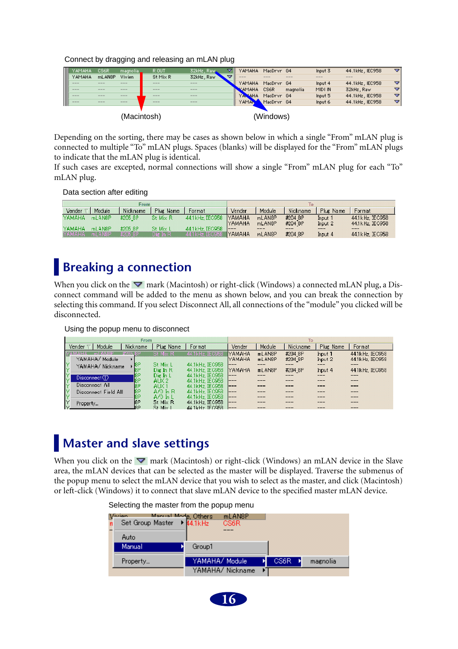Connect by dragging and releasing an mLAN plug

|   | YAMAHA.       | CS6R              | -magnolia                  | R OUT    | 32kHz, Raws       |   | YAMAHA          | MacDrvr G4 |          | Input 3 | 44.1kHz, IEC958  | ▿ |
|---|---------------|-------------------|----------------------------|----------|-------------------|---|-----------------|------------|----------|---------|------------------|---|
|   | YAMAHA        | mLAN8P            | Vivien                     | St Mix R | 32kHz, Raw        | = | <b>COLORADO</b> | ---        | ---      | ----    | <b>CONTINUES</b> |   |
|   | ----          | $\frac{1}{2}$     | $\frac{1}{2}$              | ---      | $- - -$           |   | YAMAHA          | MacDryr G4 |          | Input 4 | 44.1kHz, IEC958  | ▽ |
|   | ----          | $\qquad \qquad -$ | $\qquad \qquad - \qquad -$ | $- - -$  | $\qquad \qquad -$ |   | <b>KAMAHA</b>   | CS6R       | magnolia | MIDI IN | 32kHz, Raw       | ▿ |
|   | $- - - -$     | $\qquad \qquad -$ | $\frac{1}{2}$              | ---      | $\frac{1}{2}$     |   | YAMAHA.         | MacDryr G4 |          | Input 5 | 44.1kHz, IEC958  | ▿ |
| ш | $\frac{1}{2}$ | ---               | ---                        | ---      | $\frac{1}{2}$     |   | YAMAN           | MacDrvr G4 |          | Input 6 | 44.1kHz, IEC958  | ▿ |
|   |               |                   |                            |          |                   |   |                 |            |          |         |                  |   |
|   | (Macintosh)   |                   |                            |          |                   |   |                 | (Windows)  |          |         |                  |   |

Depending on the sorting, there may be cases as shown below in which a single "From" mLAN plug is connected to multiple "To" mLAN plugs. Spaces (blanks) will be displayed for the "From" mLAN plugs to indicate that the mLAN plug is identical.

If such cases are excepted, normal connections will show a single "From" mLAN plug for each "To" mLAN plug.

Data section after editing

|          |                     | From     |           |                        |                |                     |          |           |                  |  |
|----------|---------------------|----------|-----------|------------------------|----------------|---------------------|----------|-----------|------------------|--|
| Vender   | Module              | Nickname | Plug Name | Format                 | Vender         | Module              | Nickname | Plug Name | Format           |  |
| YAMAHA:  | mLAN <sub>8</sub> P | #205 8P  | St Mix R  | 44.1 kHz, IEC958       | <b>TYAMAHA</b> | mLAN8P              | #204 8P  | Input 1   | 44.1 kHz. IEC958 |  |
|          |                     |          |           |                        | iyamaha        | mLAN8P              | #204 8P  | Input 2   | 44.1 kHz, IEC958 |  |
| YAMAHA   | mLAN8P              | #2058P   | St Mix 1  | 44.1 kHz. IEC958       |                |                     |          |           | ----             |  |
| MAMAHA I | mLAN8P              | #205.8P  | Die In R  | 44.1kHz, IEC958 YAMAHA |                | mLAN <sub>8</sub> P | #204 8P  | Input 4   | 44.1 kHz, IEC958 |  |

## <span id="page-15-0"></span>**Breaking a connection**

When you click on the  $\nabla$  mark (Macintosh) or right-click (Windows) a connected mLAN plug, a Disconnect command will be added to the menu as shown below, and you can break the connection by selecting this command. If you select Disconnect All, all connections of the "module" you clicked will be disconnected.

Using the popup menu to disconnect

|                              | From            |                  |                 | To            |        |          |           |                 |  |
|------------------------------|-----------------|------------------|-----------------|---------------|--------|----------|-----------|-----------------|--|
| Module<br>Vender             | <b>Nickname</b> | Plug Name        | Format          | Vender        | Module | Nickname | Plug Name | Format          |  |
| <b>ANRP</b><br>4 A H A<br>ml | #205.8P         | St Mix R.        | 44.1kHz. IEC958 | <b>YAMAHA</b> | mLAN8P | #204 8P  | Input 1   | 44.1kHz. IEC958 |  |
| YAMAHA/ Module               |                 |                  |                 | <b>YAMAHA</b> | mLAN8P | #204 8P  | Input 2   | 44.1kHz, IEC958 |  |
| YAMAHA/ Nickname             | 8P              | St Mix L         | 44.1kHz, IEC958 | ---           |        |          |           |                 |  |
|                              | 8P              | Die In R         | 44.1kHz, IEC958 | IYAMAHA.      | mLAN8P | #204 8P  | Input 4   | 44.1kHz. IEC958 |  |
| Discount(T)                  | 18P             | Die In L         | 44.1kHz, IEC958 | $---$         |        |          |           |                 |  |
|                              | 18P             | AUX2             | 44.1kHz, IEC958 | ---           |        |          |           |                 |  |
| Disconnect All               | 8P              | AUX <sub>1</sub> | 44.1kHz, IEC958 | ---           |        |          |           | ---             |  |
| Disconnect Field All         | 18P             | $A/D$ in $R$     | 44.1kHz, IEC958 | $---$         |        |          |           |                 |  |
|                              | 8P              | $A/D$ in L       | 44.1kHz. IEC958 | ---           |        |          |           |                 |  |
| Property                     | l8P             | St Mix R         | 44.1kHz, IEC958 | ---           |        |          |           |                 |  |
|                              | lo P            | St Mir I         | 44 1kHz TEG958  |               |        |          |           |                 |  |

## <span id="page-15-1"></span>**Master and slave settings**

When you click on the  $\nabla$  mark (Macintosh) or right-click (Windows) an mLAN device in the Slave area, the mLAN devices that can be selected as the master will be displayed. Traverse the submenus of the popup menu to select the mLAN device that you wish to select as the master, and click (Macintosh) or left-click (Windows) it to connect that slave mLAN device to the specified master mLAN device.

| Vivian<br>Manual Mode, Others<br>Set Group Master<br>Auto |  | 44.1kHz        | ml ANSP<br>CS6R  |      |          |
|-----------------------------------------------------------|--|----------------|------------------|------|----------|
| Manual                                                    |  | Group1         |                  |      |          |
| Property                                                  |  | YAMAHA/ Module |                  | CS6R | magnolia |
|                                                           |  |                | YAMAHA/ Nickname |      |          |

#### Selecting the master from the popup menu